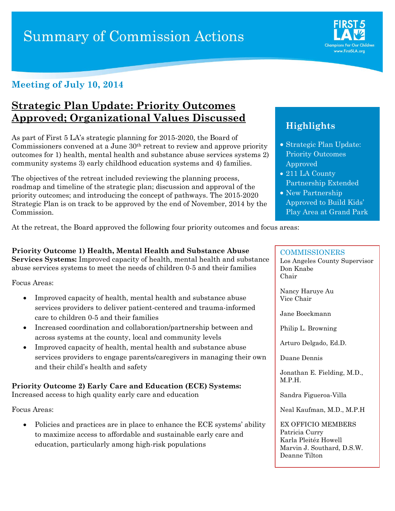# **Summary of Commission Actions**



### **Strategic Plan Update: Priority Outcomes Approved; Organizational Values Discussed**

As part of First 5 LA's strategic planning for 2015-2020, the Board of Commissioners convened at a June 30th retreat to review and approve priority outcomes for 1) health, mental health and substance abuse services systems 2) community systems 3) early childhood education systems and 4) families.

The objectives of the retreat included reviewing the planning process, roadmap and timeline of the strategic plan; discussion and approval of the priority outcomes; and introducing the concept of pathways. The 2015-2020 Strategic Plan is on track to be approved by the end of November, 2014 by the Commission.

At the retreat, the Board approved the following four priority outcomes and focus areas:

**Priority Outcome 1) Health, Mental Health and Substance Abuse Services Systems:** Improved capacity of health, mental health and substance abuse services systems to meet the needs of children 0-5 and their families

Focus Areas:

- Improved capacity of health, mental health and substance abuse services providers to deliver patient-centered and trauma-informed care to children 0-5 and their families
- Increased coordination and collaboration/partnership between and across systems at the county, local and community levels
- Improved capacity of health, mental health and substance abuse services providers to engage parents/caregivers in managing their own and their child's health and safety

**Priority Outcome 2) Early Care and Education (ECE) Systems:** Increased access to high quality early care and education

Focus Areas:

• Policies and practices are in place to enhance the ECE systems' ability to maximize access to affordable and sustainable early care and education, particularly among high-risk populations

## **Highlights**

- Strategic Plan Update: Priority Outcomes Approved
- 211 LA County Partnership Extended
- New Partnership Approved to Build Kids' Play Area at Grand Park

#### **COMMISSIONERS**

Los Angeles County Supervisor Don Knabe Chair

Nancy Haruye Au Vice Chair

Jane Boeckmann

Philip L. Browning

Arturo Delgado, Ed.D.

Duane Dennis

Jonathan E. Fielding, M.D., M.P.H.

Sandra Figueroa-Villa

Neal Kaufman, M.D., M.P.H

EX OFFICIO MEMBERS Patricia Curry Karla Pleitéz Howell Marvin J. Southard, D.S.W. Deanne Tilton

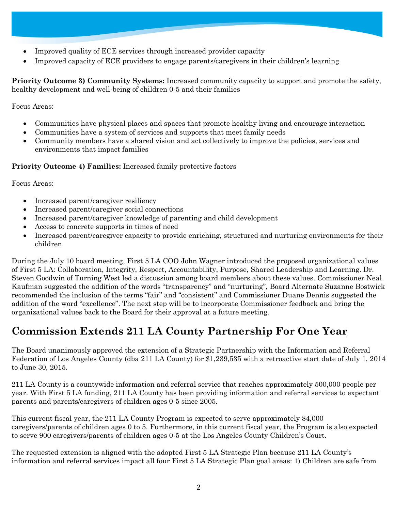- Improved quality of ECE services through increased provider capacity
- Improved capacity of ECE providers to engage parents/caregivers in their children's learning

**Priority Outcome 3) Community Systems:** Increased community capacity to support and promote the safety, healthy development and well-being of children 0-5 and their families

Focus Areas:

- Communities have physical places and spaces that promote healthy living and encourage interaction
- Communities have a system of services and supports that meet family needs
- Community members have a shared vision and act collectively to improve the policies, services and environments that impact families

#### **Priority Outcome 4) Families:** Increased family protective factors

Focus Areas:

- Increased parent/caregiver resiliency
- Increased parent/caregiver social connections
- Increased parent/caregiver knowledge of parenting and child development
- Access to concrete supports in times of need
- Increased parent/caregiver capacity to provide enriching, structured and nurturing environments for their children

During the July 10 board meeting, First 5 LA COO John Wagner introduced the proposed organizational values of First 5 LA: Collaboration, Integrity, Respect, Accountability, Purpose, Shared Leadership and Learning. Dr. Steven Goodwin of Turning West led a discussion among board members about these values. Commissioner Neal Kaufman suggested the addition of the words "transparency" and "nurturing", Board Alternate Suzanne Bostwick recommended the inclusion of the terms "fair" and "consistent" and Commissioner Duane Dennis suggested the addition of the word "excellence". The next step will be to incorporate Commissioner feedback and bring the organizational values back to the Board for their approval at a future meeting.

# **Commission Extends 211 LA County Partnership For One Year**

The Board unanimously approved the extension of a Strategic Partnership with the Information and Referral Federation of Los Angeles County (dba 211 LA County) for \$1,239,535 with a retroactive start date of July 1, 2014 to June 30, 2015.

211 LA County is a countywide information and referral service that reaches approximately 500,000 people per year. With First 5 LA funding, 211 LA County has been providing information and referral services to expectant parents and parents/caregivers of children ages 0-5 since 2005.

This current fiscal year, the 211 LA County Program is expected to serve approximately 84,000 caregivers/parents of children ages 0 to 5. Furthermore, in this current fiscal year, the Program is also expected to serve 900 caregivers/parents of children ages 0-5 at the Los Angeles County Children's Court.

The requested extension is aligned with the adopted First 5 LA Strategic Plan because 211 LA County's information and referral services impact all four First 5 LA Strategic Plan goal areas: 1) Children are safe from